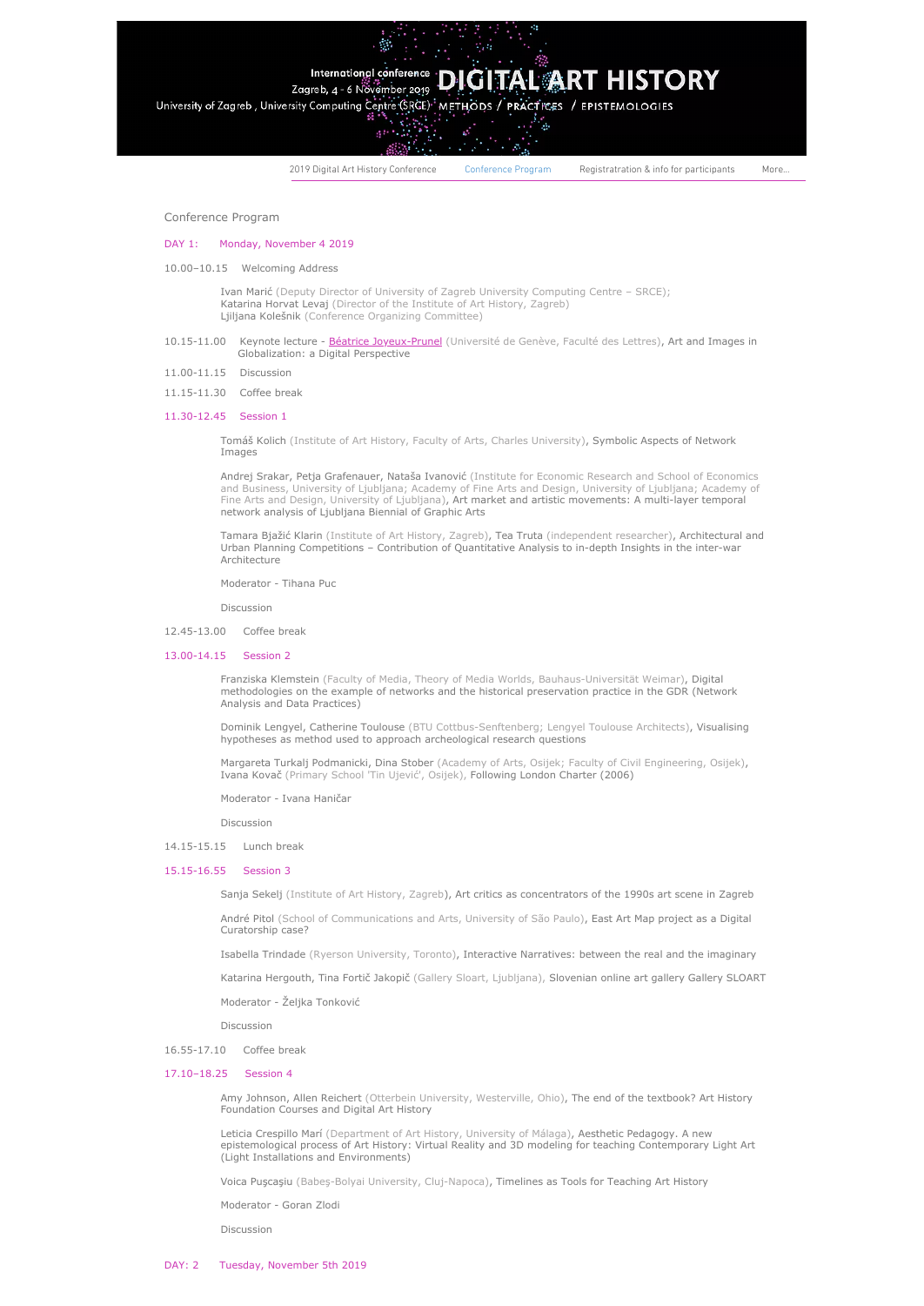# International conference **DIGITAL ART HISTORY**

Zagreb, 4 - 6 November 2019 University of Zagreb, University Computing Centre (SRCE) METHODS / PRACTICES / EPISTEMOLOGIES

Λő,

2019 Digital Art History [Conference](https://www.art-net-hrzz.org/) [Conference](https://www.art-net-hrzz.org/about-the-conference) Program [Registratration](https://www.art-net-hrzz.org/registratration-info-for-participan) & info for participants More...

Conference Program

## DAY 1: Monday, November 4 2019

10.00–10.15 Welcoming Address

Ivan Marić (Deputy Director of University of Zagreb University Computing Centre – SRCE); Katarina Horvat Levaj (Director of the Institute of Art History, Zagreb) Ljiljana Kolešnik (Conference Organizing Committee)

- 10.15-11.00 Keynote lecture [Béatrice Joyeux-Prunel](https://www.art-net-hrzz.org/keynotes) (Université de Genève, Faculté des Lettres), Art and Images in Globalization: a Digital Perspective
- 11.00-11.15 Discussion
- 11.15-11.30 Coffee break

#### 11.30-12.45 Session 1

Tomáš Kolich (Institute of Art History, Faculty of Arts, Charles University), Symbolic Aspects of Network Images

Andrej Srakar, Petja Grafenauer, Nataša Ivanović (Institute for Economic Research and School of Economics and Business, University of Ljubljana; Academy of Fine Arts and Design, University of Ljubljana; Academy of<br>Fine Arts and Design, University of Ljubljana)**, Art market and artistic movements: A multi-layer temporal** network analysis of Ljubljana Biennial of Graphic Arts

Tamara Bjažić Klarin (Institute of Art History, Zagreb), Tea Truta (independent researcher), Architectural and Urban Planning Competitions – Contribution of Quantitative Analysis to in-depth Insights in the inter-war Architecture

Moderator - Tihana Puc

Discussion

12.45-13.00 Coffee break

#### 13.00-14.15 Session 2

Franziska Klemstein (Faculty of Media, Theory of Media Worlds, Bauhaus-Universität Weimar), Digital methodologies on the example of networks and the historical preservation practice in the GDR (Network Analysis and Data Practices)

Dominik Lengyel, Catherine Toulouse (BTU Cottbus-Senftenberg; Lengyel Toulouse Architects), Visualising hypotheses as method used to approach archeological research questions

Margareta Turkalj Podmanicki, Dina Stober (Academy of Arts, Osijek; Faculty of Civil Engineering, Osijek), Ivana Kovač (Primary School 'Tin Ujević', Osijek), Following London Charter (2006)

Moderator - Ivana Haničar

Discussion

14.15-15.15 Lunch break

## 15.15-16.55 Session 3

Sanja Sekelj (Institute of Art History, Zagreb), Art critics as concentrators of the 1990s art scene in Zagreb

André Pitol (School of Communications and Arts, University of São Paulo), East Art Map project as a Digital Curatorship case?

Isabella Trindade (Ryerson University, Toronto), Interactive Narratives: between the real and the imaginary

Katarina Hergouth, Tina Fortič Jakopič (Gallery Sloart, Ljubljana), Slovenian online art gallery Gallery SLOART

Moderator - Željka Tonković

Discussion

16.55-17.10 Coffee break

## 17.10–18.25 Session 4

Amy Johnson, Allen Reichert (Otterbein University, Westerville, Ohio), The end of the textbook? Art History Foundation Courses and Digital Art History

Leticia Crespillo Marí (Department of Art History, University of Málaga), Aesthetic Pedagogy. A new epistemological process of Art History: Virtual Reality and 3D modeling for teaching Contemporary Light Art (Light Installations and Environments)

Voica Puşcaşiu (Babeş-Bolyai University, Cluj-Napoca), Timelines as Tools for Teaching Art History

Moderator - Goran Zlodi

Discussion